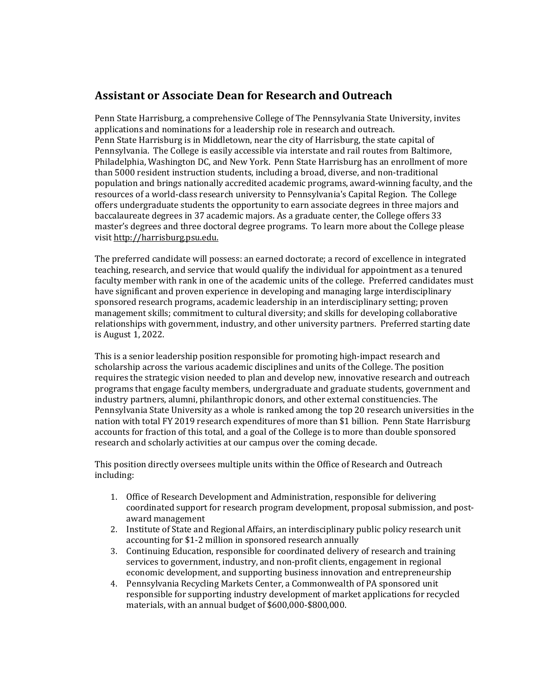## **Assistant or Associate Dean for Research and Outreach**

Penn State Harrisburg, a comprehensive College of The Pennsylvania State University, invites applications and nominations for a leadership role in research and outreach. Penn State Harrisburg is in Middletown, near the city of Harrisburg, the state capital of Pennsylvania. The College is easily accessible via interstate and rail routes from Baltimore, Philadelphia, Washington DC, and New York. Penn State Harrisburg has an enrollment of more than 5000 resident instruction students, including a broad, diverse, and non-traditional population and brings nationally accredited academic programs, award-winning faculty, and the resources of a world-class research university to Pennsylvania's Capital Region. The College offers undergraduate students the opportunity to earn associate degrees in three majors and baccalaureate degrees in 37 academic majors. As a graduate center, the College offers 33 master's degrees and three doctoral degree programs. To learn more about the College please visi[t http://harrisburg.psu.edu.](http://harrisburg.psu.edu/)

The preferred candidate will possess: an earned doctorate; a record of excellence in integrated teaching, research, and service that would qualify the individual for appointment as a tenured faculty member with rank in one of the academic units of the college. Preferred candidates must have significant and proven experience in developing and managing large interdisciplinary sponsored research programs, academic leadership in an interdisciplinary setting; proven management skills; commitment to cultural diversity; and skills for developing collaborative relationships with government, industry, and other university partners. Preferred starting date is August 1, 2022.

This is a senior leadership position responsible for promoting high-impact research and scholarship across the various academic disciplines and units of the College. The position requires the strategic vision needed to plan and develop new, innovative research and outreach programs that engage faculty members, undergraduate and graduate students, government and industry partners, alumni, philanthropic donors, and other external constituencies. The Pennsylvania State University as a whole is ranked among the top 20 research universities in the nation with total FY 2019 research expenditures of more than \$1 billion. Penn State Harrisburg accounts for fraction of this total, and a goal of the College is to more than double sponsored research and scholarly activities at our campus over the coming decade.

This position directly oversees multiple units within the Office of Research and Outreach including:

- 1. Office of Research Development and Administration, responsible for delivering coordinated support for research program development, proposal submission, and postaward management
- 2. Institute of State and Regional Affairs, an interdisciplinary public policy research unit accounting for \$1-2 million in sponsored research annually
- 3. Continuing Education, responsible for coordinated delivery of research and training services to government, industry, and non-profit clients, engagement in regional economic development, and supporting business innovation and entrepreneurship
- 4. Pennsylvania Recycling Markets Center, a Commonwealth of PA sponsored unit responsible for supporting industry development of market applications for recycled materials, with an annual budget of \$600,000-\$800,000.